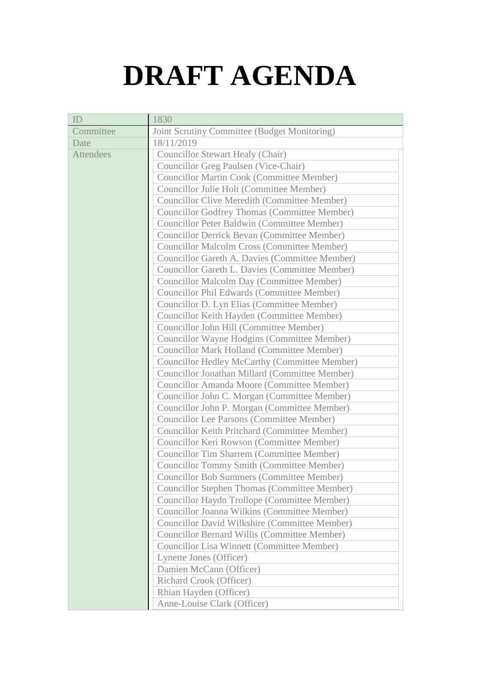## **DRAFT AGENDA**

| ID               | 1830                                                 |
|------------------|------------------------------------------------------|
| Committee        | Joint Scrutiny Committee (Budget Monitoring)         |
| Date             | 18/11/2019                                           |
| <b>Attendees</b> | <b>Councillor Stewart Healy (Chair)</b>              |
|                  | Councillor Greg Paulsen (Vice-Chair)                 |
|                  | <b>Councillor Martin Cook (Committee Member)</b>     |
|                  | Councillor Julie Holt (Committee Member)             |
|                  | <b>Councillor Clive Meredith (Committee Member)</b>  |
|                  | <b>Councillor Godfrey Thomas (Committee Member)</b>  |
|                  | Councillor Peter Baldwin (Committee Member)          |
|                  | <b>Councillor Derrick Bevan (Committee Member)</b>   |
|                  | <b>Councillor Malcolm Cross (Committee Member)</b>   |
|                  | Councillor Gareth A. Davies (Committee Member)       |
|                  | Councillor Gareth L. Davies (Committee Member)       |
|                  | <b>Councillor Malcolm Day (Committee Member)</b>     |
|                  | Councillor Phil Edwards (Committee Member)           |
|                  | Councillor D. Lyn Elias (Committee Member)           |
|                  | Councillor Keith Hayden (Committee Member)           |
|                  | Councillor John Hill (Committee Member)              |
|                  | Councillor Wayne Hodgins (Committee Member)          |
|                  | <b>Councillor Mark Holland (Committee Member)</b>    |
|                  | <b>Councillor Hedley McCarthy (Committee Member)</b> |
|                  | Councillor Jonathan Millard (Committee Member)       |
|                  | Councillor Amanda Moore (Committee Member)           |
|                  | Councillor John C. Morgan (Committee Member)         |
|                  | Councillor John P. Morgan (Committee Member)         |
|                  | <b>Councillor Lee Parsons (Committee Member)</b>     |
|                  | Councillor Keith Pritchard (Committee Member)        |
|                  | Councillor Keri Rowson (Committee Member)            |
|                  | <b>Councillor Tim Sharrem (Committee Member)</b>     |
|                  | <b>Councillor Tommy Smith (Committee Member)</b>     |
|                  | <b>Councillor Bob Summers (Committee Member)</b>     |
|                  | <b>Councillor Stephen Thomas (Committee Member)</b>  |
|                  | Councillor Haydn Trollope (Committee Member)         |
|                  | Councillor Joanna Wilkins (Committee Member)         |
|                  | Councillor David Wilkshire (Committee Member)        |
|                  | <b>Councillor Bernard Willis (Committee Member)</b>  |
|                  | <b>Councillor Lisa Winnett (Committee Member)</b>    |
|                  | Lynette Jones (Officer)                              |
|                  | Damien McCann (Officer)                              |
|                  | <b>Richard Crook (Officer)</b>                       |
|                  | Rhian Hayden (Officer)                               |
|                  | Anne-Louise Clark (Officer)                          |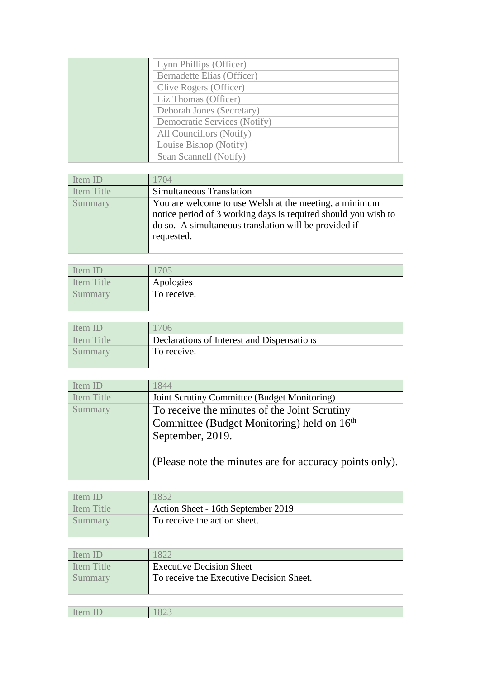| Lynn Phillips (Officer)           |
|-----------------------------------|
| <b>Bernadette Elias (Officer)</b> |
| Clive Rogers (Officer)            |
| Liz Thomas (Officer)              |
| Deborah Jones (Secretary)         |
| Democratic Services (Notify)      |
| All Councillors (Notify)          |
| Louise Bishop (Notify)            |
| Sean Scannell (Notify)            |

| Item ID           | 1704                                                           |
|-------------------|----------------------------------------------------------------|
| <b>Item Title</b> | Simultaneous Translation                                       |
| Summary           | You are welcome to use Welsh at the meeting, a minimum         |
|                   | notice period of 3 working days is required should you wish to |
|                   | do so. A simultaneous translation will be provided if          |
|                   | requested.                                                     |
|                   |                                                                |

| Item       |             |
|------------|-------------|
| Item Title | Apologies   |
| Summary    | To receive. |
|            |             |

| ftem IF    | $^{\prime}$ ()6                            |
|------------|--------------------------------------------|
| Item Title | Declarations of Interest and Dispensations |
| Summary    | To receive.                                |
|            |                                            |

| Item ID           | 1844                                                    |
|-------------------|---------------------------------------------------------|
| <b>Item Title</b> | Joint Scrutiny Committee (Budget Monitoring)            |
| Summary           | To receive the minutes of the Joint Scrutiny            |
|                   | Committee (Budget Monitoring) held on 16 <sup>th</sup>  |
|                   | September, 2019.                                        |
|                   | (Please note the minutes are for accuracy points only). |

| Item ID    | 1832                               |
|------------|------------------------------------|
| Item Title | Action Sheet - 16th September 2019 |
| Summary    | To receive the action sheet.       |

| <b>Item ID</b> | 1822                                     |
|----------------|------------------------------------------|
| Item Title     | <b>Executive Decision Sheet</b>          |
| Summary        | To receive the Executive Decision Sheet. |

| $-$<br>$-$<br>ltem<br>10011<br>___ | 022 |
|------------------------------------|-----|
|                                    |     |